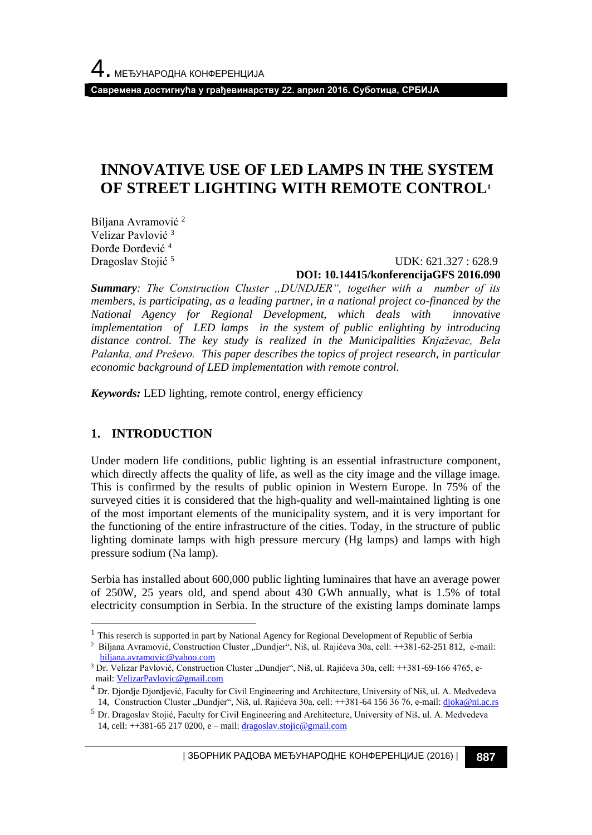**Савремена достигнућа у грађевинарству 22. април 2016. Суботица, СРБИЈА**

# **INNOVATIVE USE OF LED LAMPS IN THE SYSTEM OF STREET LIGHTING WITH REMOTE CONTROL<sup>1</sup>**

Biljana Avramović<sup>2</sup> Velizar Pavlović <sup>3</sup> Đorđe Đorđević <sup>4</sup> Dragoslav Stojić<sup>5</sup>

 UDK: 621.327 : 628.9 **DOI: 10.14415/konferencijaGFS 2016.090**

*Summary: The Construction Cluster "DUNDJER", together with a number of its members, is participating, as a leading partner, in a national project co-financed by the National Agency for Regional Development, which deals with innovative implementation of LED lamps in the system of public enlighting by introducing distance control. The key study is realized in the Municipalities Knjaževac, Bela Palanka, and Preševo. This paper describes the topics of project research, in particular economic background of LED implementation with remote control.* 

*Keywords:* LED lighting, remote control, energy efficiency

## **1. INTRODUCTION**

l

Under modern life conditions, public lighting is an essential infrastructure component, which directly affects the quality of life, as well as the city image and the village image. This is confirmed by the results of public opinion in Western Europe. In 75% of the surveyed cities it is considered that the high-quality and well-maintained lighting is one of the most important elements of the municipality system, and it is very important for the functioning of the entire infrastructure of the cities. Today, in the structure of public lighting dominate lamps with high pressure mercury (Hg lamps) and lamps with high pressure sodium (Na lamp).

Serbia has installed about 600,000 public lighting luminaires that have an average power of 250W, 25 years old, and spend about 430 GWh annually, what is 1.5% of total electricity consumption in Serbia. In the structure of the existing lamps dominate lamps

| ЗБОРНИК РАДОВА МЕЂУНАРОДНЕ КОНФЕРЕНЦИЈЕ (2016) | **887**

<sup>&</sup>lt;sup>1</sup> This reserch is supported in part by National Agency for Regional Development of Republic of Serbia

<sup>&</sup>lt;sup>2</sup> Biljana Avramović, Construction Cluster "Dundjer", Niš, ul. Rajićeva 30a, cell: ++381-62-251 812, e-mail: biljana.avramovi[c@yahoo.com](mailto:djoka@ni.ac.rs)

<sup>&</sup>lt;sup>3</sup> Dr. Velizar Pavlović, Construction Cluster "Dundjer", Niš, ul. Rajićeva 30a, cell: ++381-69-166 4765, email: [VelizarPavlovic@gmail.com](mailto:VelizarPavlovic@gmail.com)

<sup>4</sup> Dr. Djordje Djordjević, Faculty for Civil Engineering and Architecture, University of Niš, ul. A. Medvedeva 14, Construction Cluster "Dundjer", Niš, ul. Rajićeva 30a, cell: ++381-64 156 36 76, е-mail[: djoka@ni.ac.rs](mailto:djoka@ni.ac.rs)

<sup>5</sup> Dr. Dragoslav Stojić, Faculty for Civil Engineering and Architecture, University of Niš, ul. A. Medvedeva 14, cell:  $++381-65\,217\,0200$ , e – mail: [dragoslav.stojic@gmail.com](mailto:dragoslav.stojic@gmail.com)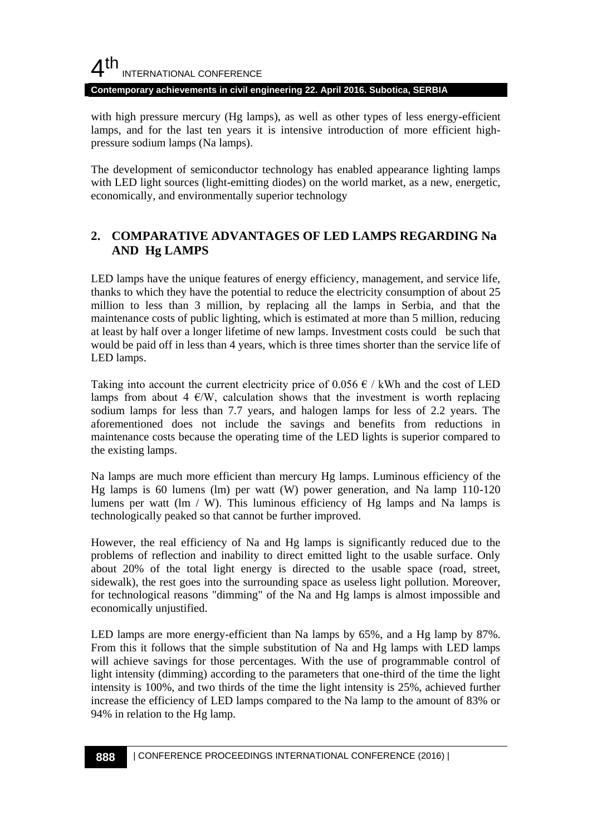## $4<sup>th</sup>$ INTERNATIONAL CONFERENCE

**Contemporary achievements in civil engineering 22. April 2016. Subotica, SERBIA**

with high pressure mercury (Hg lamps), as well as other types of less energy-efficient lamps, and for the last ten years it is intensive introduction of more efficient highpressure sodium lamps (Na lamps).

The development of semiconductor technology has enabled appearance lighting lamps with LED light sources (light-emitting diodes) on the world market, as a new, energetic, economically, and environmentally superior technology

## **2. COMPARATIVE ADVANTAGES OF LED LAMPS REGARDING Na AND Hg LAMPS**

LED lamps have the unique features of energy efficiency, management, and service life, thanks to which they have the potential to reduce the electricity consumption of about 25 million to less than 3 million, by replacing all the lamps in Serbia, and that the maintenance costs of public lighting, which is estimated at more than 5 million, reducing at least by half over a longer lifetime of new lamps. Investment costs could be such that would be paid off in less than 4 years, which is three times shorter than the service life of LED lamps.

Taking into account the current electricity price of 0.056  $\epsilon$  / kWh and the cost of LED lamps from about 4  $\epsilon$ /W, calculation shows that the investment is worth replacing sodium lamps for less than 7.7 years, and halogen lamps for less of 2.2 years. The aforementioned does not include the savings and benefits from reductions in maintenance costs because the operating time of the LED lights is superior compared to the existing lamps.

Na lamps are much more efficient than mercury Hg lamps. Luminous efficiency of the Hg lamps is 60 lumens (lm) per watt (W) power generation, and Na lamp 110-120 lumens per watt  $(\text{Im } / \text{W})$ . This luminous efficiency of Hg lamps and Na lamps is technologically peaked so that cannot be further improved.

However, the real efficiency of Na and Hg lamps is significantly reduced due to the problems of reflection and inability to direct emitted light to the usable surface. Only about 20% of the total light energy is directed to the usable space (road, street, sidewalk), the rest goes into the surrounding space as useless light pollution. Moreover, for technological reasons "dimming" of the Na and Hg lamps is almost impossible and economically unjustified.

LED lamps are more energy-efficient than Na lamps by 65%, and a Hg lamp by 87%. From this it follows that the simple substitution of Na and Hg lamps with LED lamps will achieve savings for those percentages. With the use of programmable control of light intensity (dimming) according to the parameters that one-third of the time the light intensity is 100%, and two thirds of the time the light intensity is 25%, achieved further increase the efficiency of LED lamps compared to the Na lamp to the amount of 83% or 94% in relation to the Hg lamp.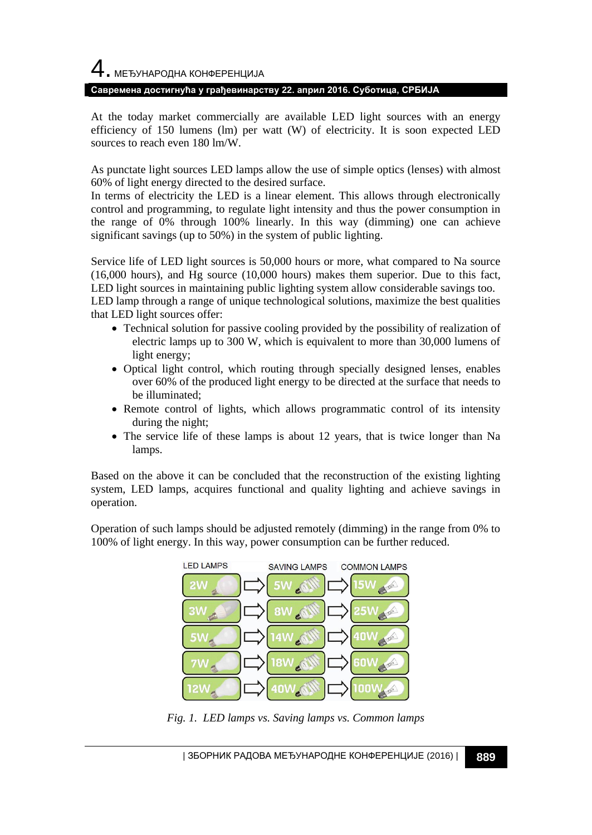4. МЕЂУНАРОДНА КОНФЕРЕНЦИЈА

#### **Савремена достигнућа у грађевинарству 22. април 2016. Суботица, СРБИЈА**

At the today market commercially are available LED light sources with an energy efficiency of 150 lumens (lm) per watt (W) of electricity. It is soon expected LED sources to reach even 180 lm/W.

As punctate light sources LED lamps allow the use of simple optics (lenses) with almost 60% of light energy directed to the desired surface.

In terms of electricity the LED is a linear element. This allows through electronically control and programming, to regulate light intensity and thus the power consumption in the range of 0% through 100% linearly. In this way (dimming) one can achieve significant savings (up to 50%) in the system of public lighting.

Service life of LED light sources is 50,000 hours or more, what compared to Na source (16,000 hours), and Hg source (10,000 hours) makes them superior. Due to this fact, LED light sources in maintaining public lighting system allow considerable savings too. LED lamp through a range of unique technological solutions, maximize the best qualities that LED light sources offer:

- Technical solution for passive cooling provided by the possibility of realization of electric lamps up to 300 W, which is equivalent to more than 30,000 lumens of light energy;
- Optical light control, which routing through specially designed lenses, enables over 60% of the produced light energy to be directed at the surface that needs to be illuminated;
- Remote control of lights, which allows programmatic control of its intensity during the night;
- The service life of these lamps is about 12 years, that is twice longer than Na lamps.

Based on the above it can be concluded that the reconstruction of the existing lighting system, LED lamps, acquires functional and quality lighting and achieve savings in operation.

Operation of such lamps should be adjusted remotely (dimming) in the range from 0% to 100% of light energy. In this way, power consumption can be further reduced.



*Fig. 1. LED lamps vs. Saving lamps vs. Common lamps*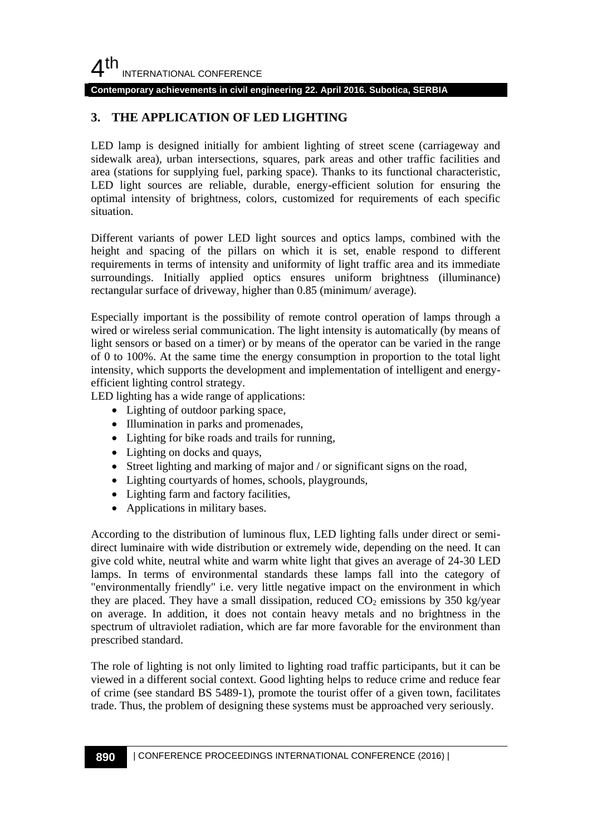**Contemporary achievements in civil engineering 22. April 2016. Subotica, SERBIA**

## **3. THE APPLICATION OF LED LIGHTING**

LED lamp is designed initially for ambient lighting of street scene (carriageway and sidewalk area), urban intersections, squares, park areas and other traffic facilities and area (stations for supplying fuel, parking space). Thanks to its functional characteristic, LED light sources are reliable, durable, energy-efficient solution for ensuring the optimal intensity of brightness, colors, customized for requirements of each specific situation.

Different variants of power LED light sources and optics lamps, combined with the height and spacing of the pillars on which it is set, enable respond to different requirements in terms of intensity and uniformity of light traffic area and its immediate surroundings. Initially applied optics ensures uniform brightness (illuminance) rectangular surface of driveway, higher than 0.85 (minimum/ average).

Especially important is the possibility of remote control operation of lamps through a wired or wireless serial communication. The light intensity is automatically (by means of light sensors or based on a timer) or by means of the operator can be varied in the range of 0 to 100%. At the same time the energy consumption in proportion to the total light intensity, which supports the development and implementation of intelligent and energyefficient lighting control strategy.

LED lighting has a wide range of applications:

- Lighting of outdoor parking space,
- Illumination in parks and promenades,
- Lighting for bike roads and trails for running,
- Lighting on docks and quays,
- Street lighting and marking of major and / or significant signs on the road,
- Lighting courtyards of homes, schools, playgrounds,
- Lighting farm and factory facilities,
- Applications in military bases.

According to the distribution of luminous flux, LED lighting falls under direct or semidirect luminaire with wide distribution or extremely wide, depending on the need. It can give cold white, neutral white and warm white light that gives an average of 24-30 LED lamps. In terms of environmental standards these lamps fall into the category of "environmentally friendly" i.e. very little negative impact on the environment in which they are placed. They have a small dissipation, reduced  $CO<sub>2</sub>$  emissions by 350 kg/year on average. In addition, it does not contain heavy metals and no brightness in the spectrum of ultraviolet radiation, which are far more favorable for the environment than prescribed standard.

The role of lighting is not only limited to lighting road traffic participants, but it can be viewed in a different social context. Good lighting helps to reduce crime and reduce fear of crime (see standard BS 5489-1), promote the tourist offer of a given town, facilitates trade. Thus, the problem of designing these systems must be approached very seriously.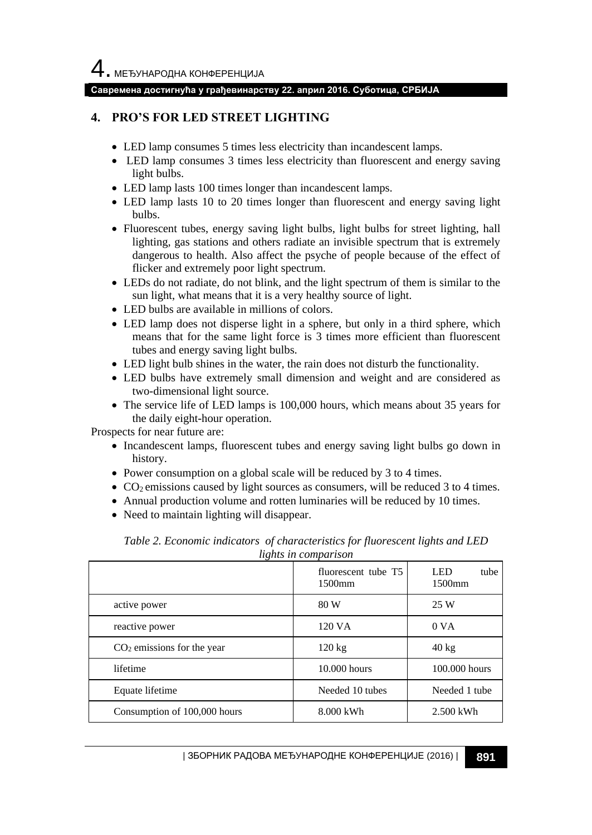4. МЕЂУНАРОДНА КОНФЕРЕНЦИЈА

#### **Савремена достигнућа у грађевинарству 22. април 2016. Суботица, СРБИЈА**

#### **4. PRO'S FOR LED STREET LIGHTING**

- LED lamp consumes 5 times less electricity than incandescent lamps.
- LED lamp consumes 3 times less electricity than fluorescent and energy saving light bulbs.
- LED lamp lasts 100 times longer than incandescent lamps.
- LED lamp lasts 10 to 20 times longer than fluorescent and energy saving light bulbs.
- Fluorescent tubes, energy saving light bulbs, light bulbs for street lighting, hall lighting, gas stations and others radiate an invisible spectrum that is extremely dangerous to health. Also affect the psyche of people because of the effect of flicker and extremely poor light spectrum.
- LEDs do not radiate, do not blink, and the light spectrum of them is similar to the sun light, what means that it is a very healthy source of light.
- LED bulbs are available in millions of colors.
- LED lamp does not disperse light in a sphere, but only in a third sphere, which means that for the same light force is 3 times more efficient than fluorescent tubes and energy saving light bulbs.
- LED light bulb shines in the water, the rain does not disturb the functionality.
- LED bulbs have extremely small dimension and weight and are considered as two-dimensional light source.
- The service life of LED lamps is 100,000 hours, which means about 35 years for the daily eight-hour operation.

Prospects for near future are:

- Incandescent lamps, fluorescent tubes and energy saving light bulbs go down in history.
- Power consumption on a global scale will be reduced by 3 to 4 times.
- $\bullet$  CO<sub>2</sub> emissions caused by light sources as consumers, will be reduced 3 to 4 times.
- Annual production volume and rotten luminaries will be reduced by 10 times.
- Need to maintain lighting will disappear.

|                              | fluorescent tube T5<br>1500mm | LED<br>tube<br>$1500$ mm |
|------------------------------|-------------------------------|--------------------------|
| active power                 | 80 W                          | 25 W                     |
| reactive power               | 120 VA                        | 0 <sub>VA</sub>          |
| $CO2$ emissions for the year | $120 \text{ kg}$              | $40 \text{ kg}$          |
| lifetime                     | 10.000 hours                  | 100,000 hours            |
| Equate lifetime              | Needed 10 tubes               | Needed 1 tube            |
| Consumption of 100,000 hours | 8.000 kWh                     | 2.500 kWh                |

*Table 2. Economic indicators of characteristics for fluorescent lights and LED lights in comparison*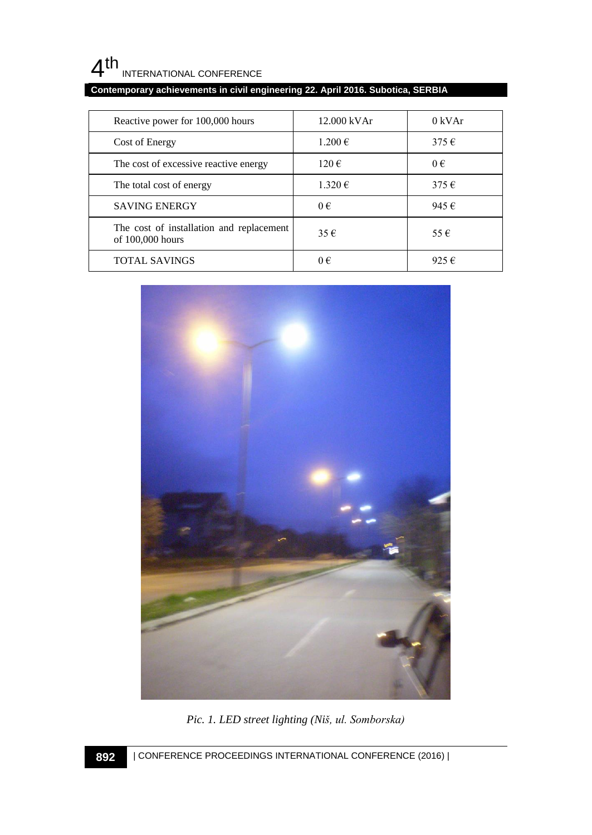#### $4<sup>th</sup>$ INTERNATIONAL CONFERENCE

## **Contemporary achievements in civil engineering 22. April 2016. Subotica, SERBIA**

| Reactive power for 100,000 hours                             | 12.000 kVAr        | 0 kVAr         |
|--------------------------------------------------------------|--------------------|----------------|
| Cost of Energy                                               | $1.200 \in$        | $375 \in$      |
| The cost of excessive reactive energy                        | $120 \text{ } \in$ | $0 \in$        |
| The total cost of energy                                     | $1.320 \in$        | $375 \in$      |
| <b>SAVING ENERGY</b>                                         | $0 \in$            | 945€           |
| The cost of installation and replacement<br>of 100,000 hours | 35€                | $55 \in$       |
| <b>TOTAL SAVINGS</b>                                         | $0 \in$            | 925 $\epsilon$ |



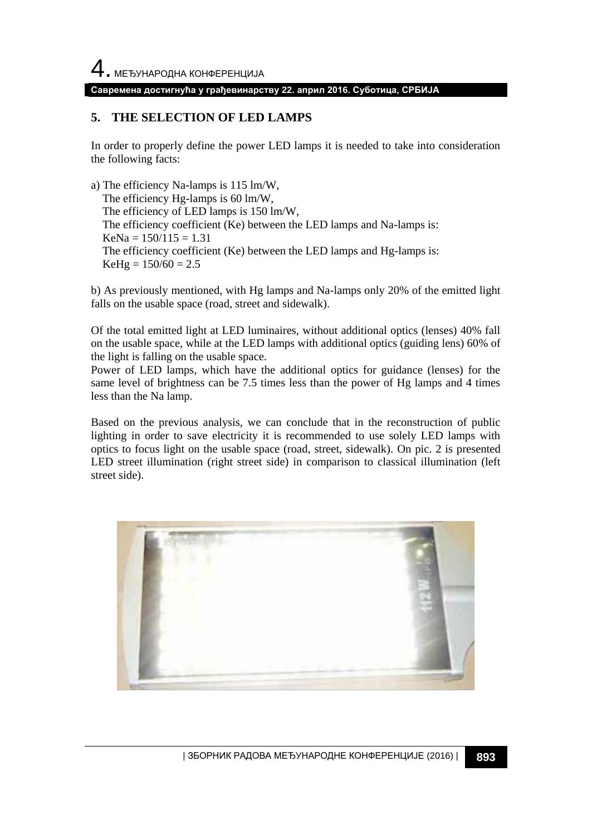#### **Савремена достигнућа у грађевинарству 22. април 2016. Суботица, СРБИЈА**

#### **5. THE SELECTION OF LED LAMPS**

In order to properly define the power LED lamps it is needed to take into consideration the following facts:

a) The efficiency Na-lamps is 115 lm/W, The efficiency Hg-lamps is 60 lm/W, The efficiency of LED lamps is 150 lm/W, The efficiency coefficient (Ke) between the LED lamps and Na-lamps is:  $KeNa = 150/115 = 1.31$  The efficiency coefficient (Ke) between the LED lamps and Hg-lamps is:  $KeHg = 150/60 = 2.5$ 

b) As previously mentioned, with Hg lamps and Na-lamps only 20% of the emitted light falls on the usable space (road, street and sidewalk).

Of the total emitted light at LED luminaires, without additional optics (lenses) 40% fall on the usable space, while at the LED lamps with additional optics (guiding lens) 60% of the light is falling on the usable space.

Power of LED lamps, which have the additional optics for guidance (lenses) for the same level of brightness can be 7.5 times less than the power of Hg lamps and 4 times less than the Na lamp.

Based on the previous analysis, we can conclude that in the reconstruction of public lighting in order to save electricity it is recommended to use solely LED lamps with optics to focus light on the usable space (road, street, sidewalk). On pic. 2 is presented LED street illumination (right street side) in comparison to classical illumination (left street side).

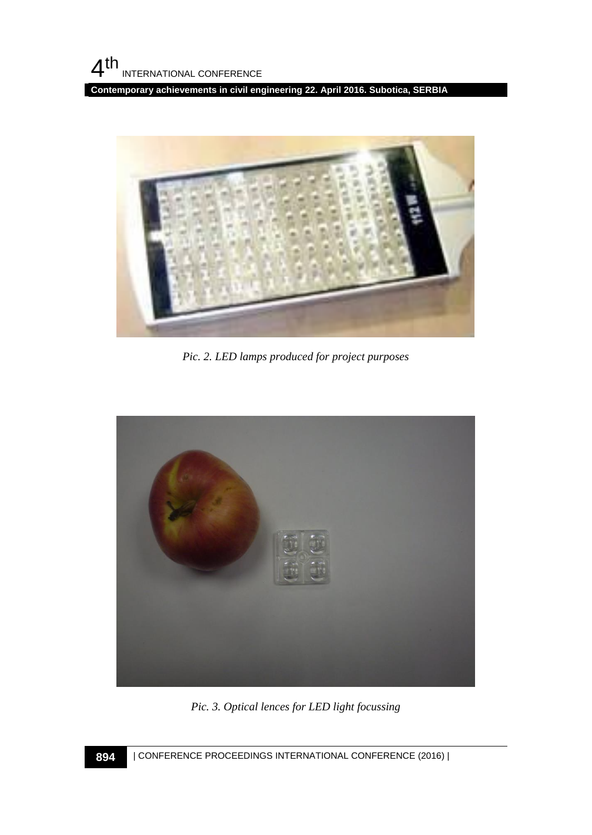**Contemporary achievements in civil engineering 22. April 2016. Subotica, SERBIA**



*Pic. 2. LED lamps produced for project purposes*



*Pic. 3. Optical lences for LED light focussing*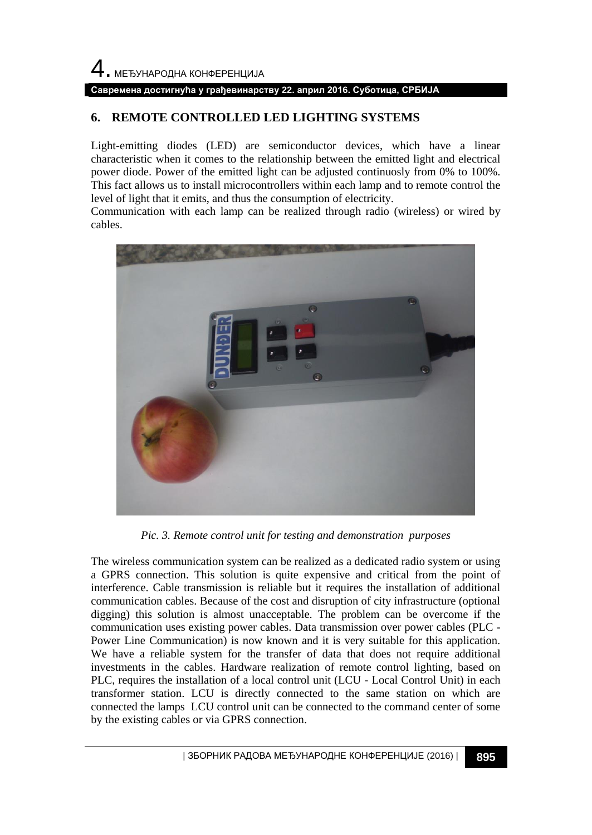# 4. МЕЂУНАРОДНА КОНФЕРЕНЦИЈА

#### **Савремена достигнућа у грађевинарству 22. април 2016. Суботица, СРБИЈА**

#### **6. REMOTE CONTROLLED LED LIGHTING SYSTEMS**

Light-emitting diodes (LED) are semiconductor devices, which have a linear characteristic when it comes to the relationship between the emitted light and electrical power diode. Power of the emitted light can be adjusted continuosly from 0% to 100%. This fact allows us to install microcontrollers within each lamp and to remote control the level of light that it emits, and thus the consumption of electricity.

Communication with each lamp can be realized through radio (wireless) or wired by cables.



*Pic. 3. Remote control unit for testing and demonstration purposes*

The wireless communication system can be realized as a dedicated radio system or using a GPRS connection. This solution is quite expensive and critical from the point of interference. Cable transmission is reliable but it requires the installation of additional communication cables. Because of the cost and disruption of city infrastructure (optional digging) this solution is almost unacceptable. The problem can be overcome if the communication uses existing power cables. Data transmission over power cables (PLC - Power Line Communication) is now known and it is very suitable for this application. We have a reliable system for the transfer of data that does not require additional investments in the cables. Hardware realization of remote control lighting, based on PLC, requires the installation of a local control unit (LCU - Local Control Unit) in each transformer station. LCU is directly connected to the same station on which are connected the lamps LCU control unit can be connected to the command center of some by the existing cables or via GPRS connection.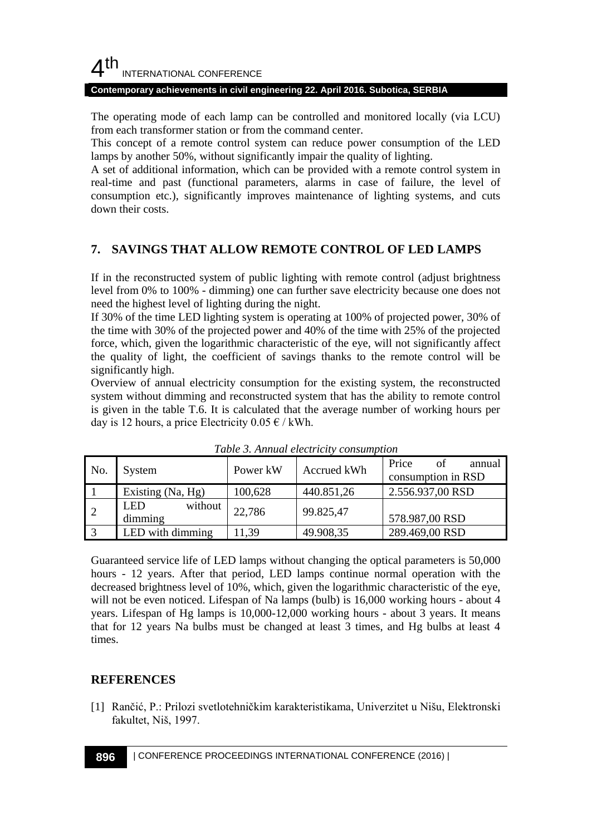## $4<sup>th</sup>$ INTERNATIONAL CONFERENCE

#### **Contemporary achievements in civil engineering 22. April 2016. Subotica, SERBIA**

The operating mode of each lamp can be controlled and monitored locally (via LCU) from each transformer station or from the command center.

This concept of a remote control system can reduce power consumption of the LED lamps by another 50%, without significantly impair the quality of lighting.

A set of additional information, which can be provided with a remote control system in real-time and past (functional parameters, alarms in case of failure, the level of consumption etc.), significantly improves maintenance of lighting systems, and cuts down their costs.

#### **7. SAVINGS THAT ALLOW REMOTE CONTROL OF LED LAMPS**

If in the reconstructed system of public lighting with remote control (adjust brightness level from 0% to 100% - dimming) one can further save electricity because one does not need the highest level of lighting during the night.

If 30% of the time LED lighting system is operating at 100% of projected power, 30% of the time with 30% of the projected power and 40% of the time with 25% of the projected force, which, given the logarithmic characteristic of the eye, will not significantly affect the quality of light, the coefficient of savings thanks to the remote control will be significantly high.

Overview of annual electricity consumption for the existing system, the reconstructed system without dimming and reconstructed system that has the ability to remote control is given in the table T.6. It is calculated that the average number of working hours per day is 12 hours, a price Electricity  $0.05 \notin /$  kWh.

| No.       | System                           | Power kW | Accrued kWh | Price<br>of<br>annual<br>consumption in RSD |  |  |
|-----------|----------------------------------|----------|-------------|---------------------------------------------|--|--|
|           | Existing (Na, Hg)                | 100,628  | 440.851,26  | 2.556.937,00 RSD                            |  |  |
| $\cdot$ 2 | <b>LED</b><br>without<br>dimming | 22,786   | 99.825,47   | 578.987,00 RSD                              |  |  |
| 3         | LED with dimming                 | 11.39    | 49.908,35   | 289.469,00 RSD                              |  |  |

*Table 3. Annual electricity consumption* 

Guaranteed service life of LED lamps without changing the optical parameters is 50,000 hours - 12 years. After that period, LED lamps continue normal operation with the decreased brightness level of 10%, which, given the logarithmic characteristic of the eye, will not be even noticed. Lifespan of Na lamps (bulb) is 16,000 working hours - about 4 years. Lifespan of Hg lamps is 10,000-12,000 working hours - about 3 years. It means that for 12 years Na bulbs must be changed at least 3 times, and Hg bulbs at least 4 times.

#### **REFERENCES**

[1] Rančić, P.: Prilozi svetlotehničkim karakteristikama, Univerzitet u Nišu, Elektronski fakultet, Niš, 1997.